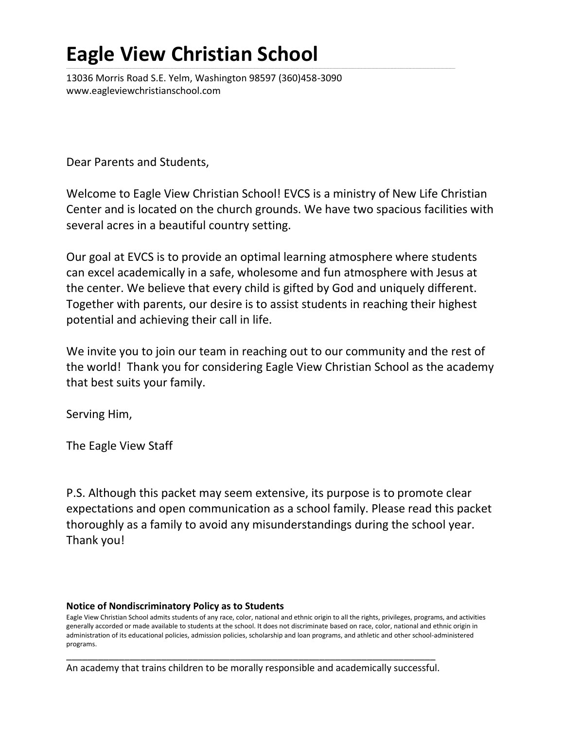# **Eagle View Christian School**

13036 Morris Road S.E. Yelm, Washington 98597 (360)458-3090 www.eagleviewchristianschool.com

Dear Parents and Students,

Welcome to Eagle View Christian School! EVCS is a ministry of New Life Christian Center and is located on the church grounds. We have two spacious facilities with several acres in a beautiful country setting.

**\_\_\_\_\_\_\_\_\_\_\_\_\_\_\_\_\_\_\_\_\_\_\_\_\_\_\_\_\_\_\_\_\_\_\_\_\_\_\_\_\_\_\_\_\_\_\_\_\_\_\_\_\_\_\_\_\_\_\_\_\_\_\_\_\_\_\_\_\_\_\_\_\_\_\_\_\_\_\_\_\_\_\_\_\_\_\_\_\_\_\_\_\_\_\_\_\_\_\_\_\_\_\_\_\_\_\_\_\_\_\_\_\_\_\_\_\_\_\_\_\_\_\_\_\_\_\_\_\_\_\_\_\_\_\_\_\_\_\_\_\_\_\_\_\_\_\_\_\_\_\_\_\_\_\_\_\_\_\_\_\_\_\_\_\_\_\_\_\_\_\_\_\_\_\_\_\_\_\_\_\_\_\_\_\_\_\_\_\_\_\_\_\_\_\_\_\_\_\_\_\_\_\_\_\_\_\_\_\_\_\_\_\_\_\_\_\_\_\_\_\_\_\_\_\_\_\_\_\_\_\_\_\_\_\_\_\_\_\_\_\_\_\_\_\_\_\_\_\_\_\_\_\_\_\_\_\_\_\_\_\_\_\_\_\_\_\_\_\_\_\_\_\_\_\_\_\_\_\_\_\_\_\_\_\_\_\_\_\_\_\_\_\_\_\_\_\_\_\_\_\_\_\_\_\_\_\_\_\_\_\_\_\_\_\_\_\_\_\_\_\_\_\_\_\_\_\_\_\_\_\_\_\_\_\_\_\_\_\_\_\_\_\_\_\_\_\_\_\_\_\_\_\_\_\_\_\_\_\_\_\_\_\_\_\_\_\_\_\_\_\_\_\_\_\_\_\_\_\_\_\_\_\_\_\_\_\_\_\_\_\_\_\_\_\_\_\_\_\_\_\_\_\_\_\_\_\_\_\_\_\_\_\_\_\_\_\_\_\_\_\_\_\_\_** 

Our goal at EVCS is to provide an optimal learning atmosphere where students can excel academically in a safe, wholesome and fun atmosphere with Jesus at the center. We believe that every child is gifted by God and uniquely different. Together with parents, our desire is to assist students in reaching their highest potential and achieving their call in life.

We invite you to join our team in reaching out to our community and the rest of the world! Thank you for considering Eagle View Christian School as the academy that best suits your family.

Serving Him,

The Eagle View Staff

P.S. Although this packet may seem extensive, its purpose is to promote clear expectations and open communication as a school family. Please read this packet thoroughly as a family to avoid any misunderstandings during the school year. Thank you!

#### **Notice of Nondiscriminatory Policy as to Students**

Eagle View Christian School admits students of any race, color, national and ethnic origin to all the rights, privileges, programs, and activities generally accorded or made available to students at the school. It does not discriminate based on race, color, national and ethnic origin in administration of its educational policies, admission policies, scholarship and loan programs, and athletic and other school-administered programs.

\_\_\_\_\_\_\_\_\_\_\_\_\_\_\_\_\_\_\_\_\_\_\_\_\_\_\_\_\_\_\_\_\_\_\_\_\_\_\_\_\_\_\_\_\_\_\_\_\_\_\_\_\_\_\_\_\_\_\_\_\_\_\_\_\_\_\_\_\_\_ An academy that trains children to be morally responsible and academically successful.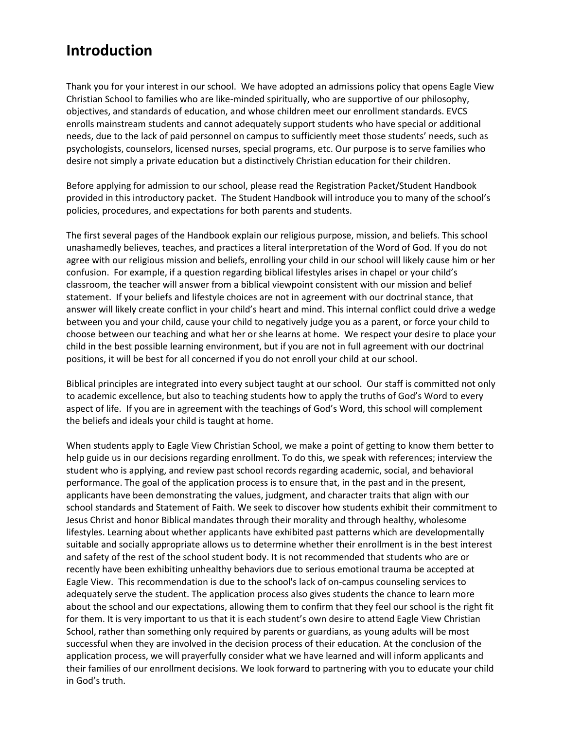### **Introduction**

Thank you for your interest in our school. We have adopted an admissions policy that opens Eagle View Christian School to families who are like-minded spiritually, who are supportive of our philosophy, objectives, and standards of education, and whose children meet our enrollment standards. EVCS enrolls mainstream students and cannot adequately support students who have special or additional needs, due to the lack of paid personnel on campus to sufficiently meet those students' needs, such as psychologists, counselors, licensed nurses, special programs, etc. Our purpose is to serve families who desire not simply a private education but a distinctively Christian education for their children.

Before applying for admission to our school, please read the Registration Packet/Student Handbook provided in this introductory packet. The Student Handbook will introduce you to many of the school's policies, procedures, and expectations for both parents and students.

The first several pages of the Handbook explain our religious purpose, mission, and beliefs. This school unashamedly believes, teaches, and practices a literal interpretation of the Word of God. If you do not agree with our religious mission and beliefs, enrolling your child in our school will likely cause him or her confusion. For example, if a question regarding biblical lifestyles arises in chapel or your child's classroom, the teacher will answer from a biblical viewpoint consistent with our mission and belief statement. If your beliefs and lifestyle choices are not in agreement with our doctrinal stance, that answer will likely create conflict in your child's heart and mind. This internal conflict could drive a wedge between you and your child, cause your child to negatively judge you as a parent, or force your child to choose between our teaching and what her or she learns at home. We respect your desire to place your child in the best possible learning environment, but if you are not in full agreement with our doctrinal positions, it will be best for all concerned if you do not enroll your child at our school.

Biblical principles are integrated into every subject taught at our school. Our staff is committed not only to academic excellence, but also to teaching students how to apply the truths of God's Word to every aspect of life. If you are in agreement with the teachings of God's Word, this school will complement the beliefs and ideals your child is taught at home.

When students apply to Eagle View Christian School, we make a point of getting to know them better to help guide us in our decisions regarding enrollment. To do this, we speak with references; interview the student who is applying, and review past school records regarding academic, social, and behavioral performance. The goal of the application process is to ensure that, in the past and in the present, applicants have been demonstrating the values, judgment, and character traits that align with our school standards and Statement of Faith. We seek to discover how students exhibit their commitment to Jesus Christ and honor Biblical mandates through their morality and through healthy, wholesome lifestyles. Learning about whether applicants have exhibited past patterns which are developmentally suitable and socially appropriate allows us to determine whether their enrollment is in the best interest and safety of the rest of the school student body. It is not recommended that students who are or recently have been exhibiting unhealthy behaviors due to serious emotional trauma be accepted at Eagle View. This recommendation is due to the school's lack of on-campus counseling services to adequately serve the student. The application process also gives students the chance to learn more about the school and our expectations, allowing them to confirm that they feel our school is the right fit for them. It is very important to us that it is each student's own desire to attend Eagle View Christian School, rather than something only required by parents or guardians, as young adults will be most successful when they are involved in the decision process of their education. At the conclusion of the application process, we will prayerfully consider what we have learned and will inform applicants and their families of our enrollment decisions. We look forward to partnering with you to educate your child in God's truth.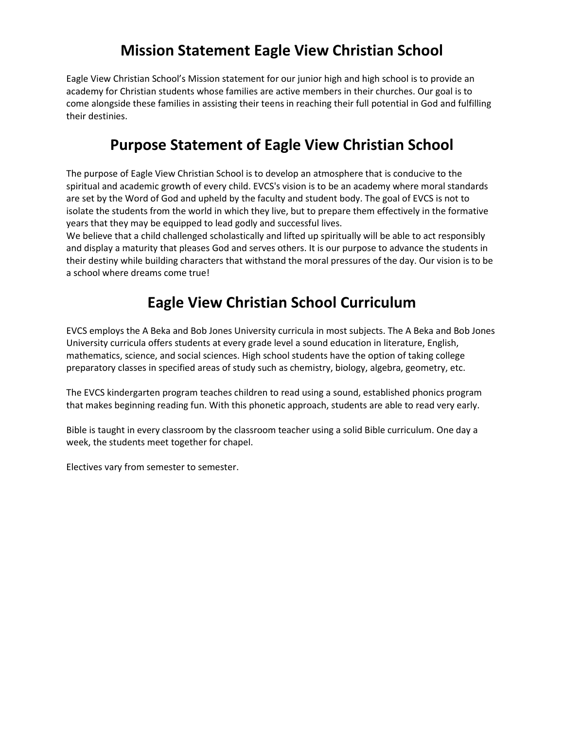# **Mission Statement Eagle View Christian School**

Eagle View Christian School's Mission statement for our junior high and high school is to provide an academy for Christian students whose families are active members in their churches. Our goal is to come alongside these families in assisting their teens in reaching their full potential in God and fulfilling their destinies.

### **Purpose Statement of Eagle View Christian School**

The purpose of Eagle View Christian School is to develop an atmosphere that is conducive to the spiritual and academic growth of every child. EVCS's vision is to be an academy where moral standards are set by the Word of God and upheld by the faculty and student body. The goal of EVCS is not to isolate the students from the world in which they live, but to prepare them effectively in the formative years that they may be equipped to lead godly and successful lives.

We believe that a child challenged scholastically and lifted up spiritually will be able to act responsibly and display a maturity that pleases God and serves others. It is our purpose to advance the students in their destiny while building characters that withstand the moral pressures of the day. Our vision is to be a school where dreams come true!

# **Eagle View Christian School Curriculum**

EVCS employs the A Beka and Bob Jones University curricula in most subjects. The A Beka and Bob Jones University curricula offers students at every grade level a sound education in literature, English, mathematics, science, and social sciences. High school students have the option of taking college preparatory classes in specified areas of study such as chemistry, biology, algebra, geometry, etc.

The EVCS kindergarten program teaches children to read using a sound, established phonics program that makes beginning reading fun. With this phonetic approach, students are able to read very early.

Bible is taught in every classroom by the classroom teacher using a solid Bible curriculum. One day a week, the students meet together for chapel.

Electives vary from semester to semester.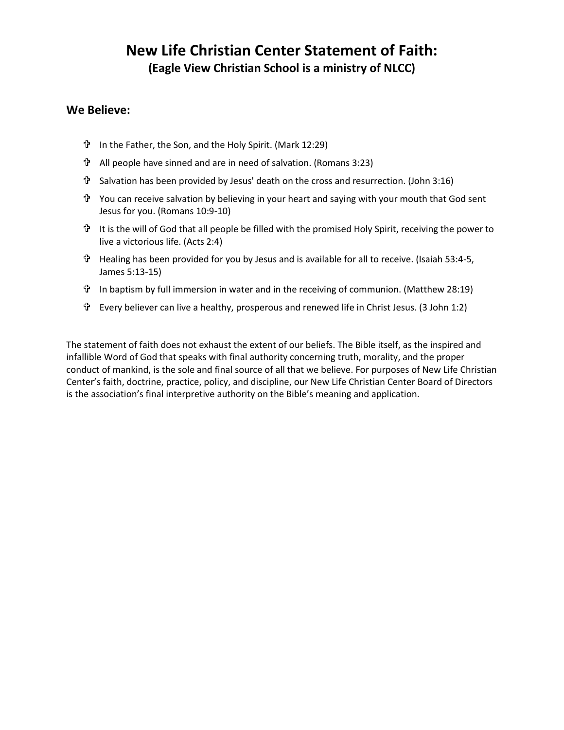### **New Life Christian Center Statement of Faith: (Eagle View Christian School is a ministry of NLCC)**

#### **We Believe:**

- In the Father, the Son, and the Holy Spirit. (Mark 12:29)
- All people have sinned and are in need of salvation. (Romans 3:23)
- Salvation has been provided by Jesus' death on the cross and resurrection. (John 3:16)
- $\hat{\mathbf{T}}$  You can receive salvation by believing in your heart and saying with your mouth that God sent Jesus for you. (Romans 10:9-10)
- $\hat{P}$  It is the will of God that all people be filled with the promised Holy Spirit, receiving the power to live a victorious life. (Acts 2:4)
- Healing has been provided for you by Jesus and is available for all to receive. (Isaiah 53:4-5, James 5:13-15)
- In baptism by full immersion in water and in the receiving of communion. (Matthew 28:19)
- Every believer can live a healthy, prosperous and renewed life in Christ Jesus. (3 John 1:2)

The statement of faith does not exhaust the extent of our beliefs. The Bible itself, as the inspired and infallible Word of God that speaks with final authority concerning truth, morality, and the proper conduct of mankind, is the sole and final source of all that we believe. For purposes of New Life Christian Center's faith, doctrine, practice, policy, and discipline, our New Life Christian Center Board of Directors is the association's final interpretive authority on the Bible's meaning and application.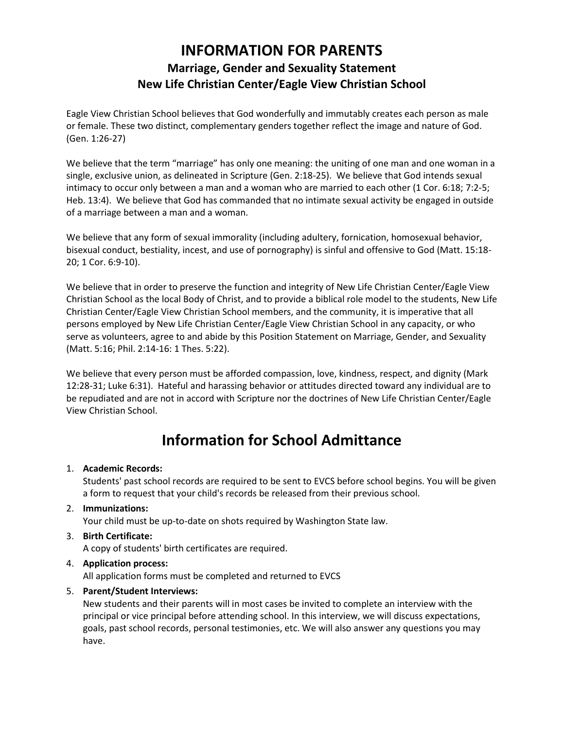### **INFORMATION FOR PARENTS Marriage, Gender and Sexuality Statement New Life Christian Center/Eagle View Christian School**

Eagle View Christian School believes that God wonderfully and immutably creates each person as male or female. These two distinct, complementary genders together reflect the image and nature of God. (Gen. 1:26-27)

We believe that the term "marriage" has only one meaning: the uniting of one man and one woman in a single, exclusive union, as delineated in Scripture (Gen. 2:18-25). We believe that God intends sexual intimacy to occur only between a man and a woman who are married to each other (1 Cor. 6:18; 7:2-5; Heb. 13:4). We believe that God has commanded that no intimate sexual activity be engaged in outside of a marriage between a man and a woman.

We believe that any form of sexual immorality (including adultery, fornication, homosexual behavior, bisexual conduct, bestiality, incest, and use of pornography) is sinful and offensive to God (Matt. 15:18- 20; 1 Cor. 6:9-10).

We believe that in order to preserve the function and integrity of New Life Christian Center/Eagle View Christian School as the local Body of Christ, and to provide a biblical role model to the students, New Life Christian Center/Eagle View Christian School members, and the community, it is imperative that all persons employed by New Life Christian Center/Eagle View Christian School in any capacity, or who serve as volunteers, agree to and abide by this Position Statement on Marriage, Gender, and Sexuality (Matt. 5:16; Phil. 2:14-16: 1 Thes. 5:22).

We believe that every person must be afforded compassion, love, kindness, respect, and dignity (Mark 12:28-31; Luke 6:31). Hateful and harassing behavior or attitudes directed toward any individual are to be repudiated and are not in accord with Scripture nor the doctrines of New Life Christian Center/Eagle View Christian School.

# **Information for School Admittance**

#### 1. **Academic Records:**

Students' past school records are required to be sent to EVCS before school begins. You will be given a form to request that your child's records be released from their previous school.

2. **Immunizations:**

Your child must be up-to-date on shots required by Washington State law.

3. **Birth Certificate:**

A copy of students' birth certificates are required.

4. **Application process:**

All application forms must be completed and returned to EVCS

#### 5. **Parent/Student Interviews:**

New students and their parents will in most cases be invited to complete an interview with the principal or vice principal before attending school. In this interview, we will discuss expectations, goals, past school records, personal testimonies, etc. We will also answer any questions you may have.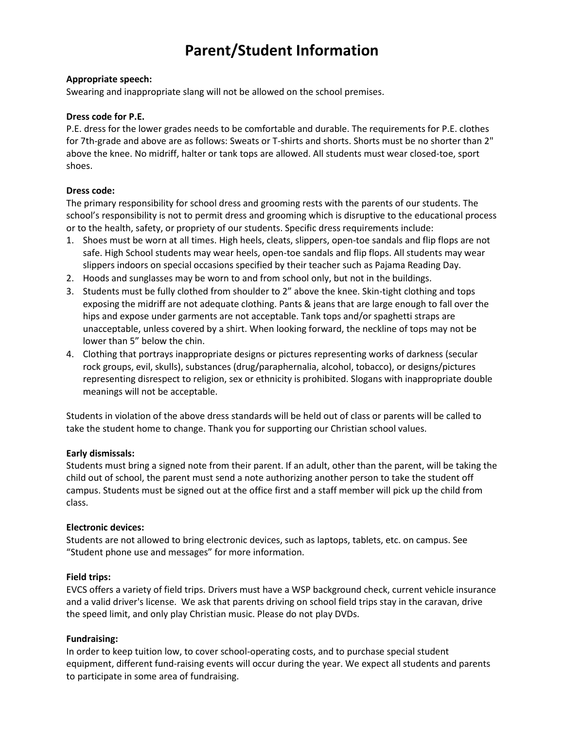# **Parent/Student Information**

#### **Appropriate speech:**

Swearing and inappropriate slang will not be allowed on the school premises.

#### **Dress code for P.E.**

P.E. dress for the lower grades needs to be comfortable and durable. The requirements for P.E. clothes for 7th-grade and above are as follows: Sweats or T-shirts and shorts. Shorts must be no shorter than 2" above the knee. No midriff, halter or tank tops are allowed. All students must wear closed-toe, sport shoes.

#### **Dress code:**

The primary responsibility for school dress and grooming rests with the parents of our students. The school's responsibility is not to permit dress and grooming which is disruptive to the educational process or to the health, safety, or propriety of our students. Specific dress requirements include:

- 1. Shoes must be worn at all times. High heels, cleats, slippers, open-toe sandals and flip flops are not safe. High School students may wear heels, open-toe sandals and flip flops. All students may wear slippers indoors on special occasions specified by their teacher such as Pajama Reading Day.
- 2. Hoods and sunglasses may be worn to and from school only, but not in the buildings.
- 3. Students must be fully clothed from shoulder to 2" above the knee. Skin-tight clothing and tops exposing the midriff are not adequate clothing. Pants & jeans that are large enough to fall over the hips and expose under garments are not acceptable. Tank tops and/or spaghetti straps are unacceptable, unless covered by a shirt. When looking forward, the neckline of tops may not be lower than 5" below the chin.
- 4. Clothing that portrays inappropriate designs or pictures representing works of darkness (secular rock groups, evil, skulls), substances (drug/paraphernalia, alcohol, tobacco), or designs/pictures representing disrespect to religion, sex or ethnicity is prohibited. Slogans with inappropriate double meanings will not be acceptable.

Students in violation of the above dress standards will be held out of class or parents will be called to take the student home to change. Thank you for supporting our Christian school values.

#### **Early dismissals:**

Students must bring a signed note from their parent. If an adult, other than the parent, will be taking the child out of school, the parent must send a note authorizing another person to take the student off campus. Students must be signed out at the office first and a staff member will pick up the child from class.

#### **Electronic devices:**

Students are not allowed to bring electronic devices, such as laptops, tablets, etc. on campus. See "Student phone use and messages" for more information.

#### **Field trips:**

EVCS offers a variety of field trips. Drivers must have a WSP background check, current vehicle insurance and a valid driver's license. We ask that parents driving on school field trips stay in the caravan, drive the speed limit, and only play Christian music. Please do not play DVDs.

#### **Fundraising:**

In order to keep tuition low, to cover school-operating costs, and to purchase special student equipment, different fund-raising events will occur during the year. We expect all students and parents to participate in some area of fundraising.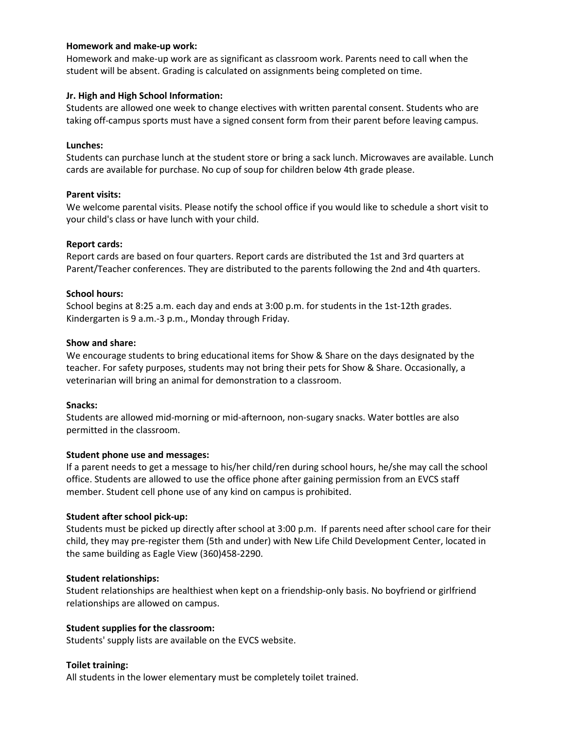#### **Homework and make-up work:**

Homework and make-up work are as significant as classroom work. Parents need to call when the student will be absent. Grading is calculated on assignments being completed on time.

#### **Jr. High and High School Information:**

Students are allowed one week to change electives with written parental consent. Students who are taking off-campus sports must have a signed consent form from their parent before leaving campus.

#### **Lunches:**

Students can purchase lunch at the student store or bring a sack lunch. Microwaves are available. Lunch cards are available for purchase. No cup of soup for children below 4th grade please.

#### **Parent visits:**

We welcome parental visits. Please notify the school office if you would like to schedule a short visit to your child's class or have lunch with your child.

#### **Report cards:**

Report cards are based on four quarters. Report cards are distributed the 1st and 3rd quarters at Parent/Teacher conferences. They are distributed to the parents following the 2nd and 4th quarters.

#### **School hours:**

School begins at 8:25 a.m. each day and ends at 3:00 p.m. for students in the 1st-12th grades. Kindergarten is 9 a.m.-3 p.m., Monday through Friday.

#### **Show and share:**

We encourage students to bring educational items for Show & Share on the days designated by the teacher. For safety purposes, students may not bring their pets for Show & Share. Occasionally, a veterinarian will bring an animal for demonstration to a classroom.

#### **Snacks:**

Students are allowed mid-morning or mid-afternoon, non-sugary snacks. Water bottles are also permitted in the classroom.

#### **Student phone use and messages:**

If a parent needs to get a message to his/her child/ren during school hours, he/she may call the school office. Students are allowed to use the office phone after gaining permission from an EVCS staff member. Student cell phone use of any kind on campus is prohibited.

#### **Student after school pick-up:**

Students must be picked up directly after school at 3:00 p.m. If parents need after school care for their child, they may pre-register them (5th and under) with New Life Child Development Center, located in the same building as Eagle View (360)458-2290.

#### **Student relationships:**

Student relationships are healthiest when kept on a friendship-only basis. No boyfriend or girlfriend relationships are allowed on campus.

#### **Student supplies for the classroom:**

Students' supply lists are available on the EVCS website.

#### **Toilet training:**

All students in the lower elementary must be completely toilet trained.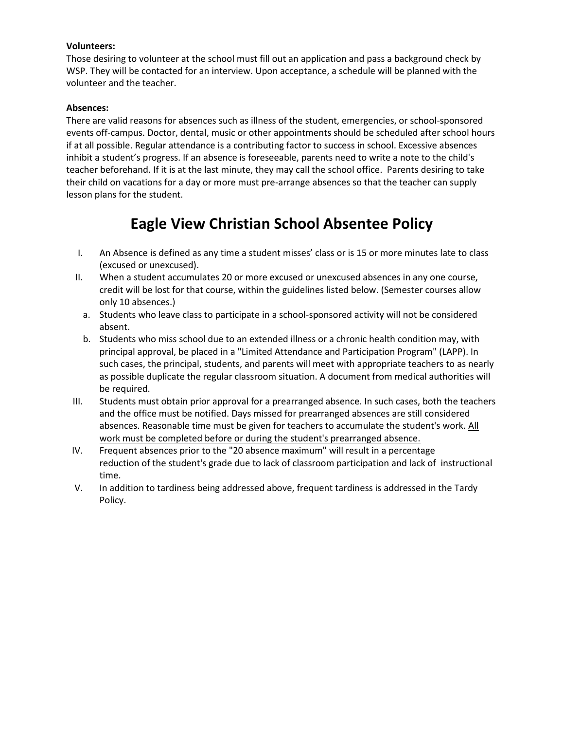#### **Volunteers:**

Those desiring to volunteer at the school must fill out an application and pass a background check by WSP. They will be contacted for an interview. Upon acceptance, a schedule will be planned with the volunteer and the teacher.

#### **Absences:**

There are valid reasons for absences such as illness of the student, emergencies, or school-sponsored events off-campus. Doctor, dental, music or other appointments should be scheduled after school hours if at all possible. Regular attendance is a contributing factor to success in school. Excessive absences inhibit a student's progress. If an absence is foreseeable, parents need to write a note to the child's teacher beforehand. If it is at the last minute, they may call the school office. Parents desiring to take their child on vacations for a day or more must pre-arrange absences so that the teacher can supply lesson plans for the student.

# **Eagle View Christian School Absentee Policy**

- I. An Absence is defined as any time a student misses' class or is 15 or more minutes late to class (excused or unexcused).
- II. When a student accumulates 20 or more excused or unexcused absences in any one course, credit will be lost for that course, within the guidelines listed below. (Semester courses allow only 10 absences.)
	- a. Students who leave class to participate in a school-sponsored activity will not be considered absent.
	- b. Students who miss school due to an extended illness or a chronic health condition may, with principal approval, be placed in a "Limited Attendance and Participation Program" (LAPP). In such cases, the principal, students, and parents will meet with appropriate teachers to as nearly as possible duplicate the regular classroom situation. A document from medical authorities will be required.
- III. Students must obtain prior approval for a prearranged absence. In such cases, both the teachers and the office must be notified. Days missed for prearranged absences are still considered absences. Reasonable time must be given for teachers to accumulate the student's work. All work must be completed before or during the student's prearranged absence.
- IV. Frequent absences prior to the "20 absence maximum" will result in a percentage reduction of the student's grade due to lack of classroom participation and lack of instructional time.
- V. In addition to tardiness being addressed above, frequent tardiness is addressed in the Tardy Policy.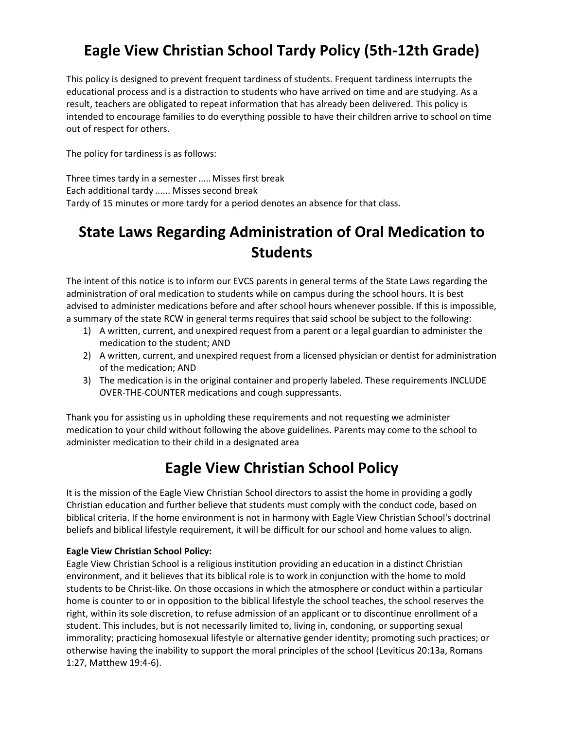# **Eagle View Christian School Tardy Policy (5th-12th Grade)**

This policy is designed to prevent frequent tardiness of students. Frequent tardiness interrupts the educational process and is a distraction to students who have arrived on time and are studying. As a result, teachers are obligated to repeat information that has already been delivered. This policy is intended to encourage families to do everything possible to have their children arrive to school on time out of respect for others.

The policy for tardiness is as follows:

Three times tardy in a semester ..... Misses first break Each additional tardy ...... Misses second break Tardy of 15 minutes or more tardy for a period denotes an absence for that class.

# **State Laws Regarding Administration of Oral Medication to Students**

The intent of this notice is to inform our EVCS parents in general terms of the State Laws regarding the administration of oral medication to students while on campus during the school hours. It is best advised to administer medications before and after school hours whenever possible. If this is impossible, a summary of the state RCW in general terms requires that said school be subject to the following:

- 1) A written, current, and unexpired request from a parent or a legal guardian to administer the medication to the student; AND
- 2) A written, current, and unexpired request from a licensed physician or dentist for administration of the medication; AND
- 3) The medication is in the original container and properly labeled. These requirements INCLUDE OVER-THE-COUNTER medications and cough suppressants.

Thank you for assisting us in upholding these requirements and not requesting we administer medication to your child without following the above guidelines. Parents may come to the school to administer medication to their child in a designated area

# **Eagle View Christian School Policy**

It is the mission of the Eagle View Christian School directors to assist the home in providing a godly Christian education and further believe that students must comply with the conduct code, based on biblical criteria. If the home environment is not in harmony with Eagle View Christian School's doctrinal beliefs and biblical lifestyle requirement, it will be difficult for our school and home values to align.

#### **Eagle View Christian School Policy:**

Eagle View Christian School is a religious institution providing an education in a distinct Christian environment, and it believes that its biblical role is to work in conjunction with the home to mold students to be Christ-like. On those occasions in which the atmosphere or conduct within a particular home is counter to or in opposition to the biblical lifestyle the school teaches, the school reserves the right, within its sole discretion, to refuse admission of an applicant or to discontinue enrollment of a student. This includes, but is not necessarily limited to, living in, condoning, or supporting sexual immorality; practicing homosexual lifestyle or alternative gender identity; promoting such practices; or otherwise having the inability to support the moral principles of the school (Leviticus 20:13a, Romans 1:27, Matthew 19:4-6).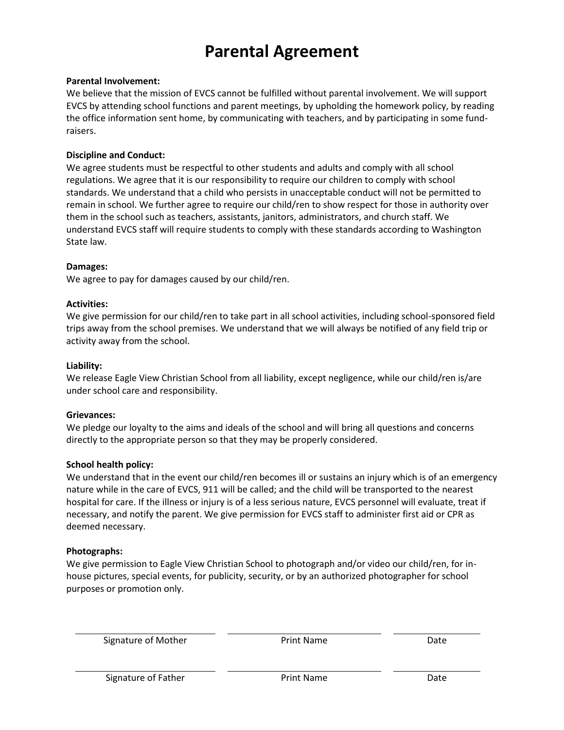# **Parental Agreement**

#### **Parental Involvement:**

We believe that the mission of EVCS cannot be fulfilled without parental involvement. We will support EVCS by attending school functions and parent meetings, by upholding the homework policy, by reading the office information sent home, by communicating with teachers, and by participating in some fundraisers.

#### **Discipline and Conduct:**

We agree students must be respectful to other students and adults and comply with all school regulations. We agree that it is our responsibility to require our children to comply with school standards. We understand that a child who persists in unacceptable conduct will not be permitted to remain in school. We further agree to require our child/ren to show respect for those in authority over them in the school such as teachers, assistants, janitors, administrators, and church staff. We understand EVCS staff will require students to comply with these standards according to Washington State law.

#### **Damages:**

We agree to pay for damages caused by our child/ren.

#### **Activities:**

We give permission for our child/ren to take part in all school activities, including school-sponsored field trips away from the school premises. We understand that we will always be notified of any field trip or activity away from the school.

#### **Liability:**

We release Eagle View Christian School from all liability, except negligence, while our child/ren is/are under school care and responsibility.

#### **Grievances:**

We pledge our loyalty to the aims and ideals of the school and will bring all questions and concerns directly to the appropriate person so that they may be properly considered.

#### **School health policy:**

We understand that in the event our child/ren becomes ill or sustains an injury which is of an emergency nature while in the care of EVCS, 911 will be called; and the child will be transported to the nearest hospital for care. If the illness or injury is of a less serious nature, EVCS personnel will evaluate, treat if necessary, and notify the parent. We give permission for EVCS staff to administer first aid or CPR as deemed necessary.

#### **Photographs:**

We give permission to Eagle View Christian School to photograph and/or video our child/ren, for inhouse pictures, special events, for publicity, security, or by an authorized photographer for school purposes or promotion only.

Signature of Mother **Print Name** Date Date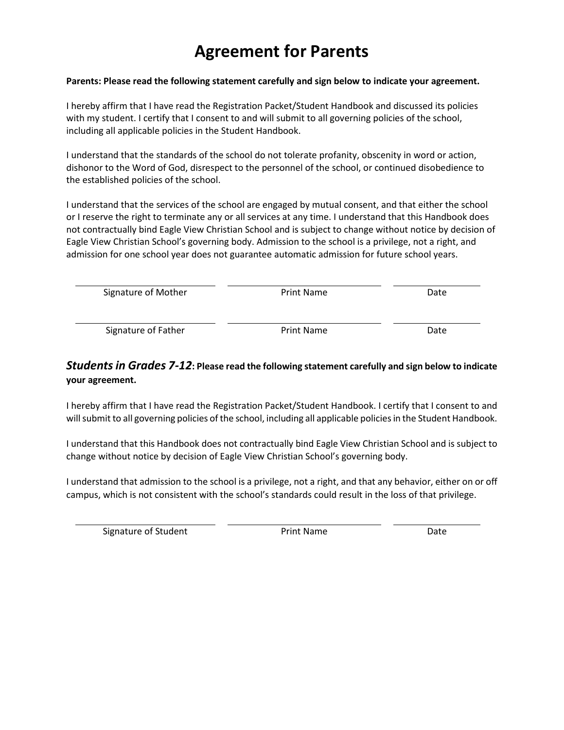# **Agreement for Parents**

#### **Parents: Please read the following statement carefully and sign below to indicate your agreement.**

I hereby affirm that I have read the Registration Packet/Student Handbook and discussed its policies with my student. I certify that I consent to and will submit to all governing policies of the school, including all applicable policies in the Student Handbook.

I understand that the standards of the school do not tolerate profanity, obscenity in word or action, dishonor to the Word of God, disrespect to the personnel of the school, or continued disobedience to the established policies of the school.

I understand that the services of the school are engaged by mutual consent, and that either the school or I reserve the right to terminate any or all services at any time. I understand that this Handbook does not contractually bind Eagle View Christian School and is subject to change without notice by decision of Eagle View Christian School's governing body. Admission to the school is a privilege, not a right, and admission for one school year does not guarantee automatic admission for future school years.

| Signature of Mother | <b>Print Name</b> | Date |
|---------------------|-------------------|------|
| Signature of Father | <b>Print Name</b> | Date |

#### *Students in Grades 7-12***: Please read the following statement carefully and sign below to indicate your agreement.**

I hereby affirm that I have read the Registration Packet/Student Handbook. I certify that I consent to and will submit to all governing policies of the school, including all applicable policies in the Student Handbook.

I understand that this Handbook does not contractually bind Eagle View Christian School and is subject to change without notice by decision of Eagle View Christian School's governing body.

I understand that admission to the school is a privilege, not a right, and that any behavior, either on or off campus, which is not consistent with the school's standards could result in the loss of that privilege.

Signature of Student **Print Name** Print Name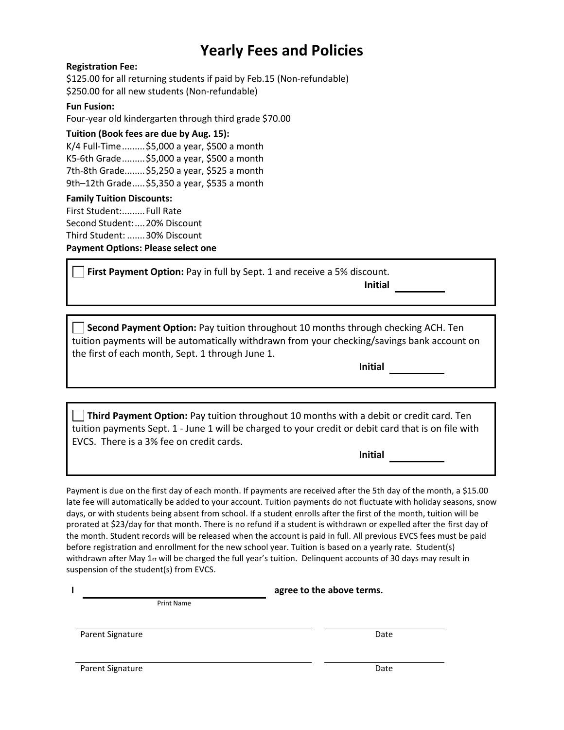# **Yearly Fees and Policies**

#### **Registration Fee:**

\$125.00 for all returning students if paid by Feb.15 (Non-refundable) \$250.00 for all new students (Non-refundable)

#### **Fun Fusion:**

Four-year old kindergarten through third grade \$70.00

#### **Tuition (Book fees are due by Aug. 15):**

K/4 Full-Time.........\$5,000 a year, \$500 a month K5-6th Grade.........\$5,000 a year, \$500 a month 7th-8th Grade........\$5,250 a year, \$525 a month 9th–12th Grade.....\$5,350 a year, \$535 a month

#### **Family Tuition Discounts:**

First Student:.........Full Rate Second Student:....20% Discount Third Student: .......30% Discount **Payment Options: Please select one**

**First Payment Option:** Pay in full by Sept. 1 and receive a 5% discount.

**Initial** 

**Second Payment Option:** Pay tuition throughout 10 months through checking ACH. Ten tuition payments will be automatically withdrawn from your checking/savings bank account on the first of each month, Sept. 1 through June 1.

**Initial** 

**Third Payment Option:** Pay tuition throughout 10 months with a debit or credit card. Ten tuition payments Sept. 1 - June 1 will be charged to your credit or debit card that is on file with EVCS. There is a 3% fee on credit cards.

**Initial** 

Payment is due on the first day of each month. If payments are received after the 5th day of the month, a \$15.00 late fee will automatically be added to your account. Tuition payments do not fluctuate with holiday seasons, snow days, or with students being absent from school. If a student enrolls after the first of the month, tuition will be prorated at \$23/day for that month. There is no refund if a student is withdrawn or expelled after the first day of the month. Student records will be released when the account is paid in full. All previous EVCS fees must be paid before registration and enrollment for the new school year. Tuition is based on a yearly rate. Student(s) withdrawn after May 1st will be charged the full year's tuition. Delinquent accounts of 30 days may result in suspension of the student(s) from EVCS.

| agree to the above terms. |
|---------------------------|
|                           |
|                           |

Parent Signature Date Date of the Date of the Date Date Date Date of the Date Date of the Date of the Date of the Date of the Date of the Date of the Date of the Date of the Date of the Date of the Date of the Date of the

**I**

Parent Signature Date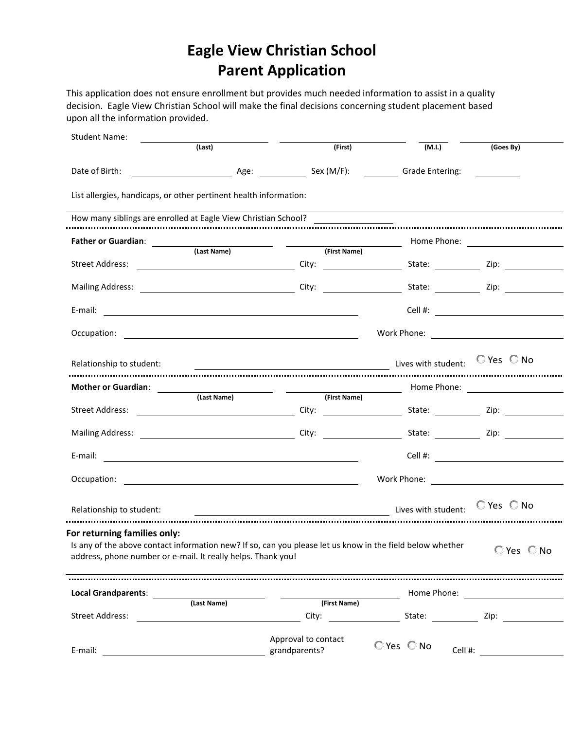# **Eagle View Christian School Parent Application**

This application does not ensure enrollment but provides much needed information to assist in a quality decision. Eagle View Christian School will make the final decisions concerning student placement based upon all the information provided.

| <b>Student Name:</b>                                                                         |                                                                                                                       |                                                                                                                                                                                                                                                                                                                                                                                                                                   |                           |                                                                                                                                                                                                                                |
|----------------------------------------------------------------------------------------------|-----------------------------------------------------------------------------------------------------------------------|-----------------------------------------------------------------------------------------------------------------------------------------------------------------------------------------------------------------------------------------------------------------------------------------------------------------------------------------------------------------------------------------------------------------------------------|---------------------------|--------------------------------------------------------------------------------------------------------------------------------------------------------------------------------------------------------------------------------|
|                                                                                              | (Last)                                                                                                                | (First)                                                                                                                                                                                                                                                                                                                                                                                                                           | (M.I.)                    | (Goes By)                                                                                                                                                                                                                      |
| Date of Birth:                                                                               | <u>na androide and Age:</u>                                                                                           | Sex (M/F):                                                                                                                                                                                                                                                                                                                                                                                                                        | <b>Grade Entering:</b>    |                                                                                                                                                                                                                                |
| List allergies, handicaps, or other pertinent health information:                            |                                                                                                                       |                                                                                                                                                                                                                                                                                                                                                                                                                                   |                           |                                                                                                                                                                                                                                |
| How many siblings are enrolled at Eagle View Christian School?                               |                                                                                                                       |                                                                                                                                                                                                                                                                                                                                                                                                                                   |                           |                                                                                                                                                                                                                                |
| <b>Father or Guardian:</b>                                                                   |                                                                                                                       |                                                                                                                                                                                                                                                                                                                                                                                                                                   |                           |                                                                                                                                                                                                                                |
|                                                                                              |                                                                                                                       | <b>Example 12 (Last Name)</b> National Contract (First Name)                                                                                                                                                                                                                                                                                                                                                                      |                           |                                                                                                                                                                                                                                |
| Street Address:                                                                              |                                                                                                                       |                                                                                                                                                                                                                                                                                                                                                                                                                                   |                           |                                                                                                                                                                                                                                |
|                                                                                              |                                                                                                                       |                                                                                                                                                                                                                                                                                                                                                                                                                                   |                           |                                                                                                                                                                                                                                |
|                                                                                              |                                                                                                                       |                                                                                                                                                                                                                                                                                                                                                                                                                                   |                           | Cell #: <u>_______________________</u>                                                                                                                                                                                         |
| Occupation:                                                                                  |                                                                                                                       |                                                                                                                                                                                                                                                                                                                                                                                                                                   |                           |                                                                                                                                                                                                                                |
| Relationship to student:                                                                     |                                                                                                                       | $\frac{1}{\sqrt{1-\frac{1}{\sqrt{1-\frac{1}{\sqrt{1-\frac{1}{\sqrt{1-\frac{1}{\sqrt{1-\frac{1}{\sqrt{1-\frac{1}{\sqrt{1-\frac{1}{\sqrt{1-\frac{1}{\sqrt{1-\frac{1}{\sqrt{1-\frac{1}{\sqrt{1-\frac{1}{\sqrt{1-\frac{1}{\sqrt{1-\frac{1}{\sqrt{1-\frac{1}{\sqrt{1-\frac{1}{\sqrt{1-\frac{1}{\sqrt{1-\frac{1}{\sqrt{1-\frac{1}{\sqrt{1-\frac{1}{\sqrt{1-\frac{1}{\sqrt{1-\frac{1}{\sqrt{1-\frac{1}{\sqrt{1-\frac{1}{\sqrt{1-\frac{1$ |                           |                                                                                                                                                                                                                                |
| Mother or Guardian:                                                                          | <u> 1980 - Jan Barnett, fransk politiker (</u>                                                                        |                                                                                                                                                                                                                                                                                                                                                                                                                                   |                           |                                                                                                                                                                                                                                |
|                                                                                              | (Last Name)                                                                                                           | (First Name)                                                                                                                                                                                                                                                                                                                                                                                                                      |                           |                                                                                                                                                                                                                                |
| Street Address:                                                                              |                                                                                                                       |                                                                                                                                                                                                                                                                                                                                                                                                                                   |                           |                                                                                                                                                                                                                                |
| Mailing Address: Mailing Address: Mailing Address: Mail 2014                                 |                                                                                                                       |                                                                                                                                                                                                                                                                                                                                                                                                                                   | City: State: Zip:         |                                                                                                                                                                                                                                |
| E-mail:                                                                                      | <u>a sa barang sa mga sangang nagarang nagarang nagarang nagarang nagarang nagarang nagarang nagarang nagarang na</u> |                                                                                                                                                                                                                                                                                                                                                                                                                                   |                           | Cell #: <u>____________________</u>                                                                                                                                                                                            |
| Occupation:                                                                                  |                                                                                                                       | <u> 1989 - Johann Stein, mars an deutscher Stein und der Stein und der Stein und der Stein und der Stein und der</u>                                                                                                                                                                                                                                                                                                              |                           |                                                                                                                                                                                                                                |
| Relationship to student:                                                                     |                                                                                                                       | <b>Example 20</b> Lives with student:                                                                                                                                                                                                                                                                                                                                                                                             |                           | $\mathbb{C}$ Yes $\mathbb{C}$ No                                                                                                                                                                                               |
| For returning families only:<br>address, phone number or e-mail. It really helps. Thank you! |                                                                                                                       | Is any of the above contact information new? If so, can you please let us know in the field below whether                                                                                                                                                                                                                                                                                                                         |                           | $\mathbb{C}$ Yes $\mathbb{C}$ No                                                                                                                                                                                               |
|                                                                                              |                                                                                                                       |                                                                                                                                                                                                                                                                                                                                                                                                                                   |                           |                                                                                                                                                                                                                                |
| <b>Local Grandparents:</b>                                                                   | (Last Name)                                                                                                           | (First Name)                                                                                                                                                                                                                                                                                                                                                                                                                      |                           | Home Phone: The Contract of The Contract of The Contract of The Contract of The Contract of The Contract of The Contract of The Contract of The Contract of The Contract of The Contract of The Contract of The Contract of Th |
| Street Address:                                                                              | <u> 1980 - Johann Barbara, martin a</u>                                                                               |                                                                                                                                                                                                                                                                                                                                                                                                                                   |                           |                                                                                                                                                                                                                                |
| E-mail:                                                                                      |                                                                                                                       | Approval to contact<br>grandparents?                                                                                                                                                                                                                                                                                                                                                                                              | $C$ Yes $C$ No<br>Cell #: |                                                                                                                                                                                                                                |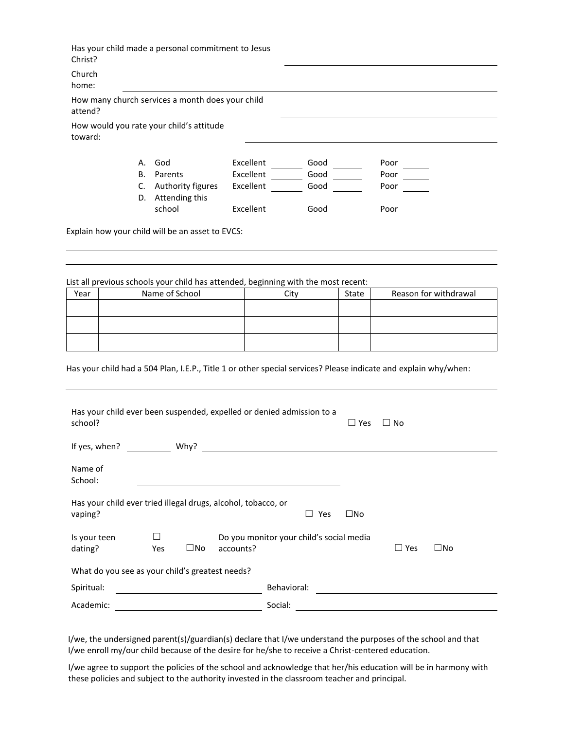|         |    | How many church services a month does your child |           |      |      |
|---------|----|--------------------------------------------------|-----------|------|------|
| attend? |    |                                                  |           |      |      |
| toward: |    | How would you rate your child's attitude         |           |      |      |
|         | А. | God                                              | Excellent | Good | Poor |
|         | В. | Parents                                          | Excellent | Good | Poor |
|         |    | Authority figures                                | Excellent | Good | Poor |
|         | C. |                                                  |           |      |      |
|         | D. | Attending this                                   |           |      |      |

List all previous schools your child has attended, beginning with the most recent:

| Year | Name of School | Citv | State | Reason for withdrawal |
|------|----------------|------|-------|-----------------------|
|      |                |      |       |                       |
|      |                |      |       |                       |
|      |                |      |       |                       |
|      |                |      |       |                       |
|      |                |      |       |                       |
|      |                |      |       |                       |

Has your child had a 504 Plan, I.E.P., Title 1 or other special services? Please indicate and explain why/when:

| Has your child ever been suspended, expelled or denied admission to a<br>school? |     |              |                                                               |             |                     | $\Box$ Yes   | $\sqcup$ No |           |
|----------------------------------------------------------------------------------|-----|--------------|---------------------------------------------------------------|-------------|---------------------|--------------|-------------|-----------|
| If yes, when?                                                                    |     | Why?         | <u> 1989 - Johann Stein, mars an deutscher Stein († 1958)</u> |             |                     |              |             |           |
| Name of<br>School:                                                               |     |              |                                                               |             |                     |              |             |           |
| Has your child ever tried illegal drugs, alcohol, tobacco, or<br>vaping?         |     |              |                                                               |             | Yes<br>$\mathsf{L}$ | $\square$ No |             |           |
| Is your teen<br>dating?                                                          | Yes | $\square$ No | Do you monitor your child's social media<br>accounts?         |             |                     |              | $\Box$ Yes  | $\Box$ No |
| What do you see as your child's greatest needs?                                  |     |              |                                                               |             |                     |              |             |           |
| Spiritual:                                                                       |     |              |                                                               | Behavioral: |                     |              |             |           |
| Academic:                                                                        |     |              |                                                               | Social:     |                     |              |             |           |

I/we, the undersigned parent(s)/guardian(s) declare that I/we understand the purposes of the school and that I/we enroll my/our child because of the desire for he/she to receive a Christ-centered education.

I/we agree to support the policies of the school and acknowledge that her/his education will be in harmony with these policies and subject to the authority invested in the classroom teacher and principal.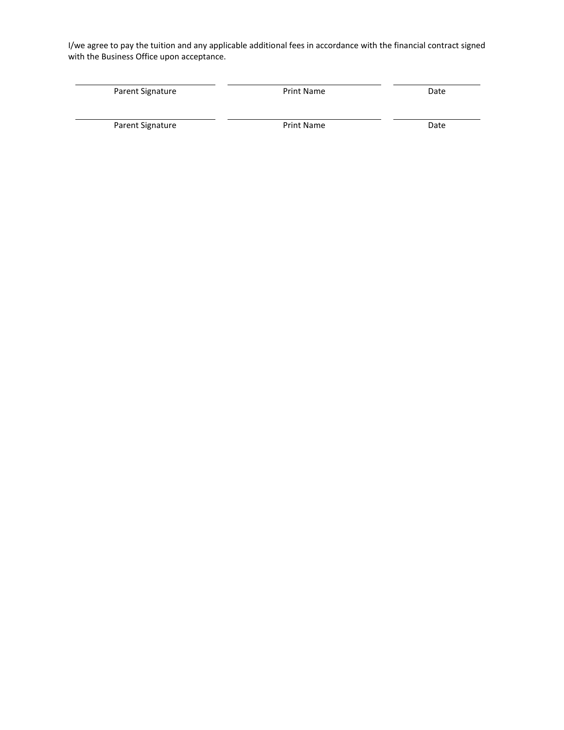I/we agree to pay the tuition and any applicable additional fees in accordance with the financial contract signed with the Business Office upon acceptance.

| Parent Signature | <b>Print Name</b> | Date |
|------------------|-------------------|------|
| Parent Signature | <b>Print Name</b> | Date |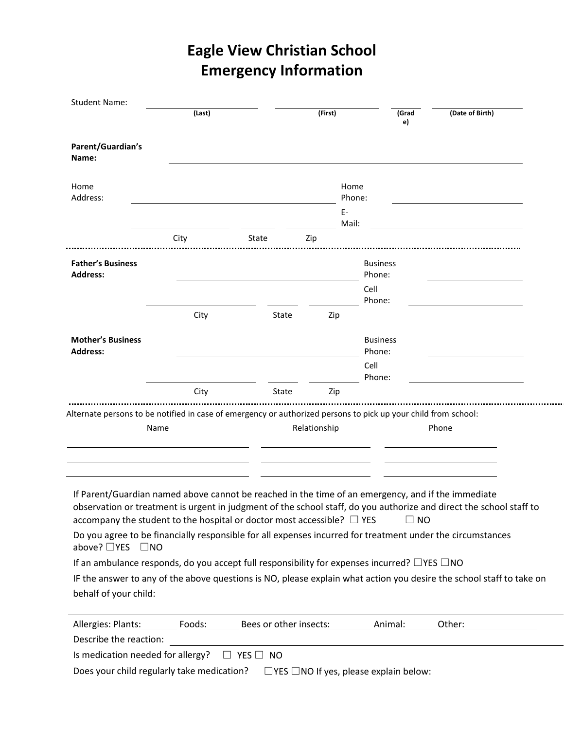# **Eagle View Christian School Emergency Information**

| <b>Student Name:</b>                                                                                                                                                                                                                                                                                                                                                                                                   | (Last) |       | (First)      |                | (Grad<br>e)               | (Date of Birth) |  |
|------------------------------------------------------------------------------------------------------------------------------------------------------------------------------------------------------------------------------------------------------------------------------------------------------------------------------------------------------------------------------------------------------------------------|--------|-------|--------------|----------------|---------------------------|-----------------|--|
| Parent/Guardian's<br>Name:                                                                                                                                                                                                                                                                                                                                                                                             |        |       |              |                |                           |                 |  |
| Home<br>Address:                                                                                                                                                                                                                                                                                                                                                                                                       |        |       |              | Home<br>Phone: |                           |                 |  |
|                                                                                                                                                                                                                                                                                                                                                                                                                        | City   | State | Zip          | Е-<br>Mail:    |                           |                 |  |
|                                                                                                                                                                                                                                                                                                                                                                                                                        |        |       |              |                |                           |                 |  |
| <b>Father's Business</b><br><b>Address:</b>                                                                                                                                                                                                                                                                                                                                                                            |        |       |              |                | <b>Business</b><br>Phone: |                 |  |
|                                                                                                                                                                                                                                                                                                                                                                                                                        |        |       |              |                | Cell<br>Phone:            |                 |  |
|                                                                                                                                                                                                                                                                                                                                                                                                                        | City   | State | Zip          |                |                           |                 |  |
| <b>Mother's Business</b><br><b>Address:</b>                                                                                                                                                                                                                                                                                                                                                                            |        |       |              |                | <b>Business</b><br>Phone: |                 |  |
|                                                                                                                                                                                                                                                                                                                                                                                                                        |        |       |              |                | Cell<br>Phone:            |                 |  |
|                                                                                                                                                                                                                                                                                                                                                                                                                        | City   | State | Zip          |                |                           |                 |  |
| Alternate persons to be notified in case of emergency or authorized persons to pick up your child from school:                                                                                                                                                                                                                                                                                                         | Name   |       | Relationship |                |                           | Phone           |  |
| If Parent/Guardian named above cannot be reached in the time of an emergency, and if the immediate<br>observation or treatment is urgent in judgment of the school staff, do you authorize and direct the school staff to<br>accompany the student to the hospital or doctor most accessible? $\Box$ YES<br>Do you agree to be financially responsible for all expenses incurred for treatment under the circumstances |        |       |              |                |                           | $\Box$ NO       |  |
| above? □YES □NO                                                                                                                                                                                                                                                                                                                                                                                                        |        |       |              |                |                           |                 |  |
| If an ambulance responds, do you accept full responsibility for expenses incurred? $\Box$ YES $\Box$ NO<br>IF the answer to any of the above questions is NO, please explain what action you desire the school staff to take on                                                                                                                                                                                        |        |       |              |                |                           |                 |  |
| behalf of your child:                                                                                                                                                                                                                                                                                                                                                                                                  |        |       |              |                |                           |                 |  |
| Allergies: Plants:___________ Foods:___________ Bees or other insects:__________ Animal:________Other:_________________________________                                                                                                                                                                                                                                                                                |        |       |              |                |                           |                 |  |
| Describe the reaction: <u>contract of the set of the set of the set of the set of the set of the set of the set of the set of the set of the set of the set of the set of the set of the set of the set of the set of the set of</u><br>Is medication needed for allergy? $\square$ YES $\square$ NO                                                                                                                   |        |       |              |                |                           |                 |  |

Does your child regularly take medication? ☐YES ☐NO If yes, please explain below: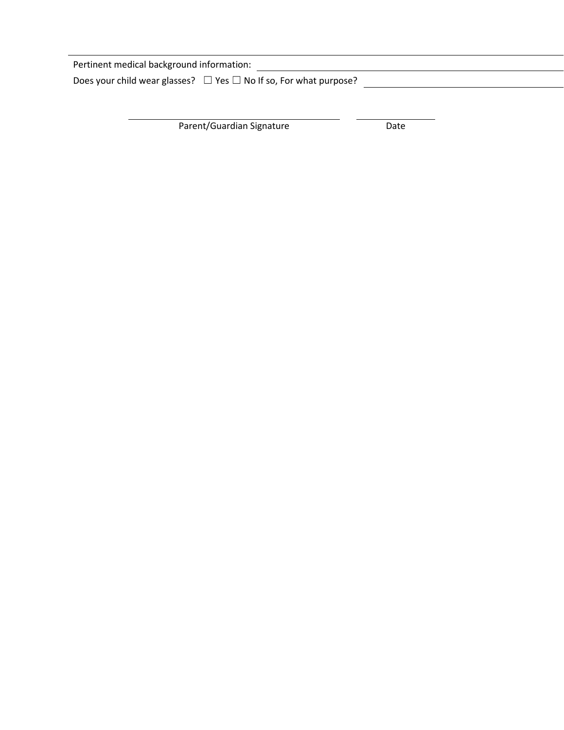| Pertinent medical background information:                                   |  |
|-----------------------------------------------------------------------------|--|
| Does your child wear glasses? $\Box$ Yes $\Box$ No If so, For what purpose? |  |

Parent/Guardian Signature Date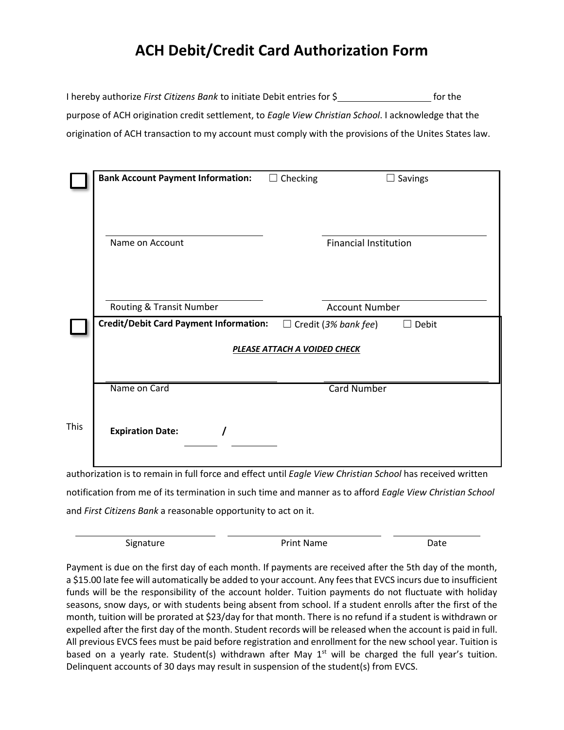# **ACH Debit/Credit Card Authorization Form**

| I hereby authorize First Citizens Bank to initiate Debit entries for \$                                | for the |
|--------------------------------------------------------------------------------------------------------|---------|
| purpose of ACH origination credit settlement, to Eagle View Christian School. I acknowledge that the   |         |
| origination of ACH transaction to my account must comply with the provisions of the Unites States law. |         |

|      | <b>Bank Account Payment Information:</b>      | Checking<br>$\Box$                  | Savings<br>$\Box$                           |
|------|-----------------------------------------------|-------------------------------------|---------------------------------------------|
|      | Name on Account                               |                                     | <b>Financial Institution</b>                |
|      | Routing & Transit Number                      |                                     | <b>Account Number</b>                       |
|      | <b>Credit/Debit Card Payment Information:</b> |                                     | $\Box$ Credit (3% bank fee)<br>$\Box$ Debit |
|      |                                               | <b>PLEASE ATTACH A VOIDED CHECK</b> |                                             |
|      |                                               |                                     |                                             |
|      | Name on Card                                  |                                     | <b>Card Number</b>                          |
| This | <b>Expiration Date:</b>                       |                                     |                                             |

authorization is to remain in full force and effect until *Eagle View Christian School* has received written notification from me of its termination in such time and manner as to afford *Eagle View Christian School* and *First Citizens Bank* a reasonable opportunity to act on it.

Signature **Date** Print Name **Date** 

Payment is due on the first day of each month. If payments are received after the 5th day of the month, a \$15.00 late fee will automatically be added to your account. Any fees that EVCS incurs due to insufficient funds will be the responsibility of the account holder. Tuition payments do not fluctuate with holiday seasons, snow days, or with students being absent from school. If a student enrolls after the first of the month, tuition will be prorated at \$23/day for that month. There is no refund if a student is withdrawn or expelled after the first day of the month. Student records will be released when the account is paid in full. All previous EVCS fees must be paid before registration and enrollment for the new school year. Tuition is based on a yearly rate. Student(s) withdrawn after May  $1<sup>st</sup>$  will be charged the full year's tuition. Delinquent accounts of 30 days may result in suspension of the student(s) from EVCS.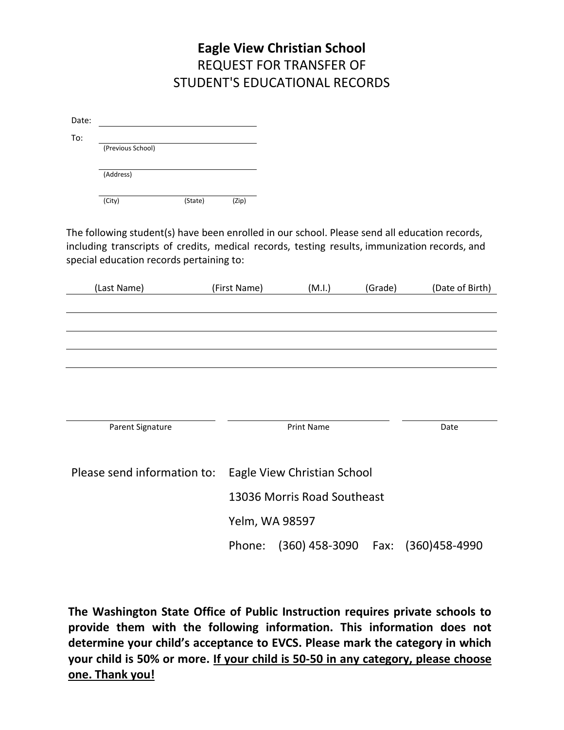### **Eagle View Christian School** REQUEST FOR TRANSFER OF STUDENT'S EDUCATIONAL RECORDS

| Date: |                   |         |       |  |
|-------|-------------------|---------|-------|--|
| To:   | (Previous School) |         |       |  |
|       | (Address)         |         |       |  |
|       | (City)            | (State) | (Zip) |  |

The following student(s) have been enrolled in our school. Please send all education records, including transcripts of credits, medical records, testing results, immunization records, and special education records pertaining to:

| (Last Name)                 | (First Name)                | (M.I.)                      | (Grade) | (Date of Birth) |
|-----------------------------|-----------------------------|-----------------------------|---------|-----------------|
|                             |                             |                             |         |                 |
|                             |                             |                             |         |                 |
|                             |                             |                             |         |                 |
|                             |                             |                             |         |                 |
|                             |                             |                             |         |                 |
|                             |                             |                             |         |                 |
|                             |                             |                             |         |                 |
| Parent Signature            |                             | <b>Print Name</b>           |         | Date            |
|                             |                             |                             |         |                 |
| Please send information to: | Eagle View Christian School |                             |         |                 |
|                             |                             | 13036 Morris Road Southeast |         |                 |
|                             |                             | Yelm, WA 98597              |         |                 |
|                             | Phone:                      | $(360)$ 458-3090            | Fax:    | (360) 458-4990  |

**The Washington State Office of Public Instruction requires private schools to provide them with the following information. This information does not determine your child's acceptance to EVCS. Please mark the category in which your child is 50% or more. If your child is 50-50 in any category, please choose one. Thank you!**